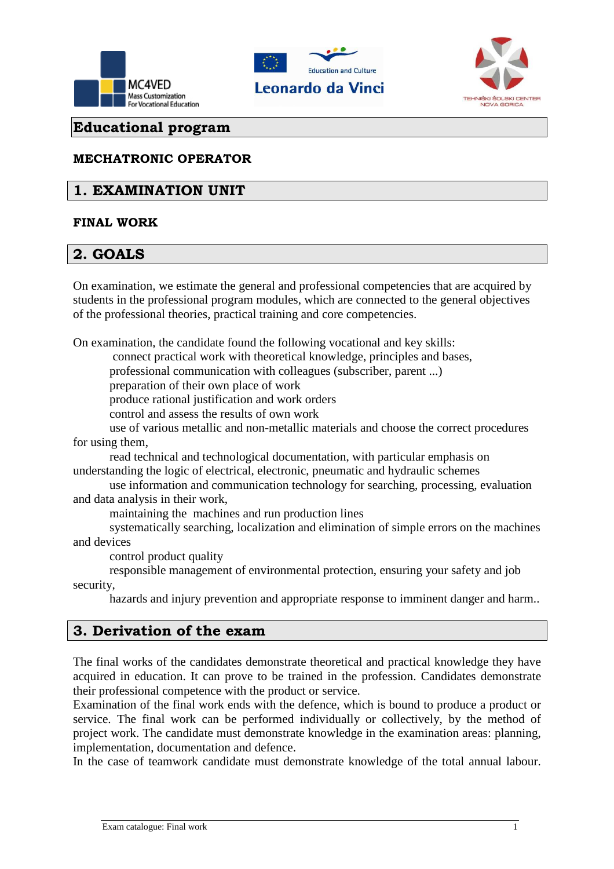





# **Educational program**

#### **MECHATRONIC OPERATOR**

# **1. EXAMINATION UNIT**

#### **FINAL WORK**

# **2. GOALS**

On examination, we estimate the general and professional competencies that are acquired by students in the professional program modules, which are connected to the general objectives of the professional theories, practical training and core competencies.

On examination, the candidate found the following vocational and key skills:

connect practical work with theoretical knowledge, principles and bases,

professional communication with colleagues (subscriber, parent ...)

preparation of their own place of work

produce rational justification and work orders

control and assess the results of own work

 use of various metallic and non-metallic materials and choose the correct procedures for using them,

 read technical and technological documentation, with particular emphasis on understanding the logic of electrical, electronic, pneumatic and hydraulic schemes

 use information and communication technology for searching, processing, evaluation and data analysis in their work,

maintaining the machines and run production lines

 systematically searching, localization and elimination of simple errors on the machines and devices

control product quality

 responsible management of environmental protection, ensuring your safety and job security,

hazards and injury prevention and appropriate response to imminent danger and harm..

#### **3. Derivation of the exam**

The final works of the candidates demonstrate theoretical and practical knowledge they have acquired in education. It can prove to be trained in the profession. Candidates demonstrate their professional competence with the product or service.

Examination of the final work ends with the defence, which is bound to produce a product or service. The final work can be performed individually or collectively, by the method of project work. The candidate must demonstrate knowledge in the examination areas: planning, implementation, documentation and defence.

In the case of teamwork candidate must demonstrate knowledge of the total annual labour.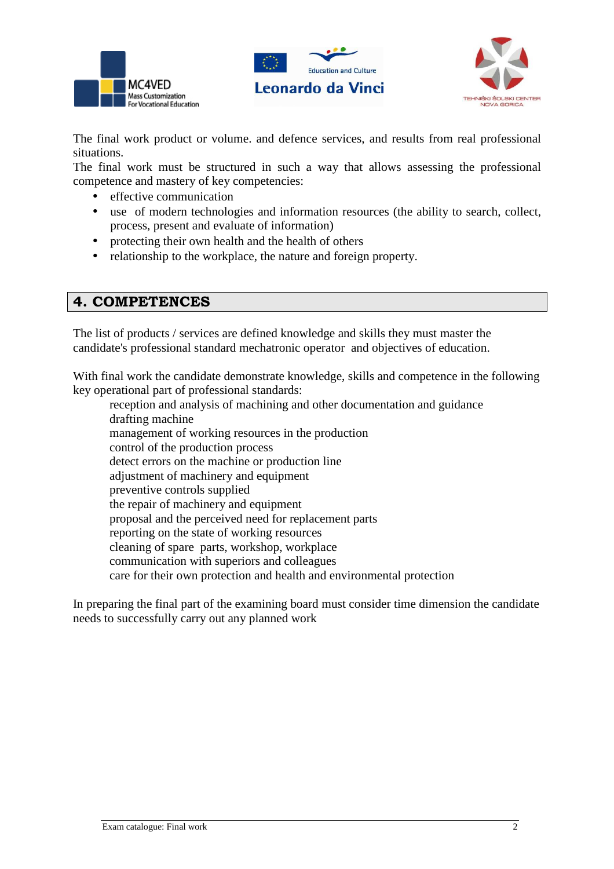





The final work product or volume. and defence services, and results from real professional situations.

The final work must be structured in such a way that allows assessing the professional competence and mastery of key competencies:

- effective communication
- use of modern technologies and information resources (the ability to search, collect, process, present and evaluate of information)
- protecting their own health and the health of others
- relationship to the workplace, the nature and foreign property.

## **4. COMPETENCES**

The list of products / services are defined knowledge and skills they must master the candidate's professional standard mechatronic operator and objectives of education.

With final work the candidate demonstrate knowledge, skills and competence in the following key operational part of professional standards:

 reception and analysis of machining and other documentation and guidance drafting machine management of working resources in the production control of the production process detect errors on the machine or production line adjustment of machinery and equipment preventive controls supplied the repair of machinery and equipment proposal and the perceived need for replacement parts reporting on the state of working resources cleaning of spare parts, workshop, workplace communication with superiors and colleagues care for their own protection and health and environmental protection

In preparing the final part of the examining board must consider time dimension the candidate needs to successfully carry out any planned work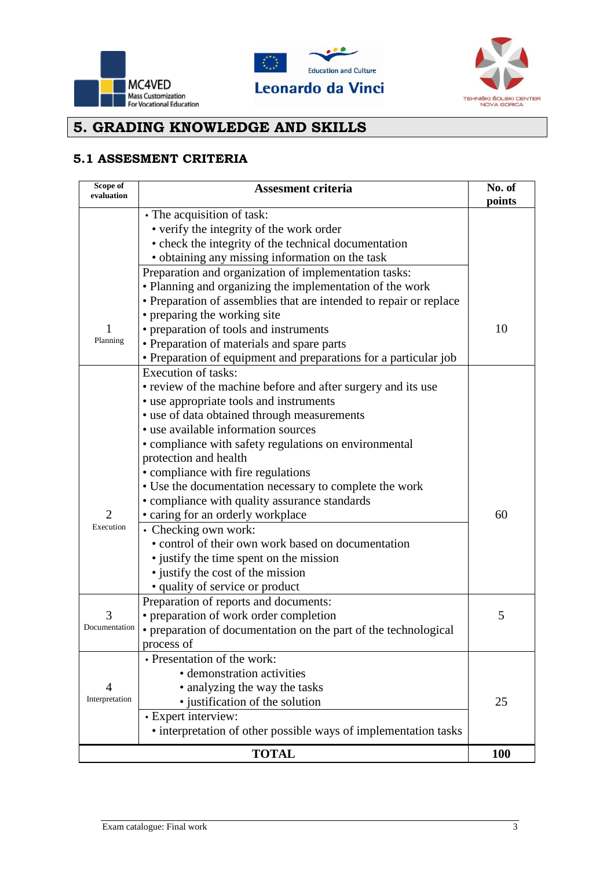





# **5. GRADING KNOWLEDGE AND SKILLS**

#### **5.1 ASSESMENT CRITERIA**

| Scope of<br>evaluation | <b>Assesment criteria</b>                                          | No. of<br>points |
|------------------------|--------------------------------------------------------------------|------------------|
|                        | • The acquisition of task:                                         |                  |
|                        | • verify the integrity of the work order                           |                  |
|                        | • check the integrity of the technical documentation               |                  |
|                        | • obtaining any missing information on the task                    |                  |
|                        | Preparation and organization of implementation tasks:              |                  |
|                        | • Planning and organizing the implementation of the work           |                  |
|                        | • Preparation of assemblies that are intended to repair or replace |                  |
|                        | • preparing the working site                                       |                  |
|                        | • preparation of tools and instruments                             | 10               |
| Planning               | • Preparation of materials and spare parts                         |                  |
|                        | • Preparation of equipment and preparations for a particular job   |                  |
|                        | <b>Execution of tasks:</b>                                         |                  |
|                        | • review of the machine before and after surgery and its use       |                  |
|                        | • use appropriate tools and instruments                            |                  |
|                        | • use of data obtained through measurements                        |                  |
|                        | • use available information sources                                |                  |
|                        | • compliance with safety regulations on environmental              |                  |
|                        | protection and health                                              |                  |
|                        | • compliance with fire regulations                                 |                  |
|                        | • Use the documentation necessary to complete the work             |                  |
|                        | • compliance with quality assurance standards                      |                  |
| $\overline{2}$         | • caring for an orderly workplace                                  | 60               |
| Execution              | • Checking own work:                                               |                  |
|                        | • control of their own work based on documentation                 |                  |
|                        | • justify the time spent on the mission                            |                  |
|                        | • justify the cost of the mission                                  |                  |
|                        | • quality of service or product                                    |                  |
|                        | Preparation of reports and documents:                              |                  |
| 3<br>Documentation     | • preparation of work order completion                             | 5                |
|                        | • preparation of documentation on the part of the technological    |                  |
|                        | process of                                                         |                  |
|                        | • Presentation of the work:                                        |                  |
| $\overline{4}$         | • demonstration activities                                         |                  |
| Interpretation         | • analyzing the way the tasks                                      |                  |
|                        | • justification of the solution                                    | 25               |
|                        | • Expert interview:                                                |                  |
|                        | • interpretation of other possible ways of implementation tasks    |                  |
| <b>TOTAL</b>           |                                                                    |                  |